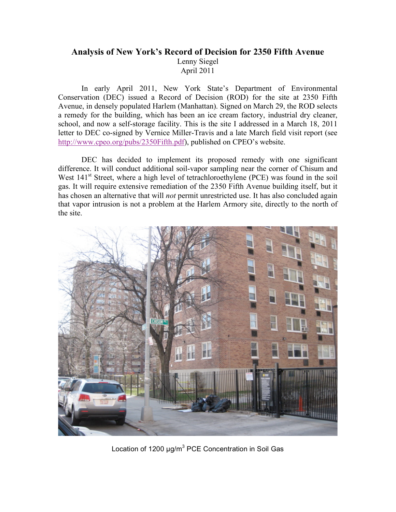## **Analysis of New York's Record of Decision for 2350 Fifth Avenue** Lenny Siegel April 2011

In early April 2011, New York State's Department of Environmental Conservation (DEC) issued a Record of Decision (ROD) for the site at 2350 Fifth Avenue, in densely populated Harlem (Manhattan). Signed on March 29, the ROD selects a remedy for the building, which has been an ice cream factory, industrial dry cleaner, school, and now a self-storage facility. This is the site I addressed in a March 18, 2011 letter to DEC co-signed by Vernice Miller-Travis and a late March field visit report (see http://www.cpeo.org/pubs/2350Fifth.pdf), published on CPEO's website.

DEC has decided to implement its proposed remedy with one significant difference. It will conduct additional soil-vapor sampling near the corner of Chisum and West 141<sup>st</sup> Street, where a high level of tetrachloroethylene (PCE) was found in the soil gas. It will require extensive remediation of the 2350 Fifth Avenue building itself, but it has chosen an alternative that will *not* permit unrestricted use. It has also concluded again that vapor intrusion is not a problem at the Harlem Armory site, directly to the north of the site.



Location of 1200 µg/m<sup>3</sup> PCE Concentration in Soil Gas